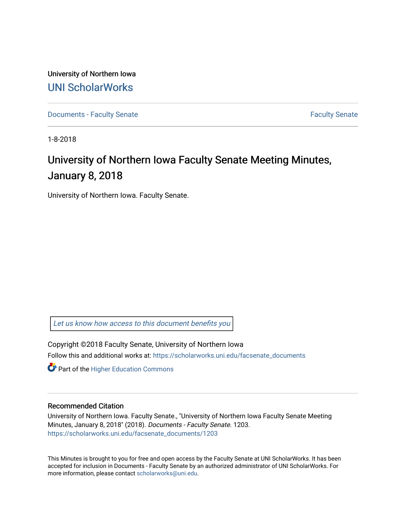University of Northern Iowa [UNI ScholarWorks](https://scholarworks.uni.edu/) 

[Documents - Faculty Senate](https://scholarworks.uni.edu/facsenate_documents) [Faculty Senate](https://scholarworks.uni.edu/facsenate) Faculty Senate

1-8-2018

## University of Northern Iowa Faculty Senate Meeting Minutes, January 8, 2018

University of Northern Iowa. Faculty Senate.

[Let us know how access to this document benefits you](https://scholarworks.uni.edu/feedback_form.html) 

Copyright ©2018 Faculty Senate, University of Northern Iowa Follow this and additional works at: [https://scholarworks.uni.edu/facsenate\\_documents](https://scholarworks.uni.edu/facsenate_documents?utm_source=scholarworks.uni.edu%2Ffacsenate_documents%2F1203&utm_medium=PDF&utm_campaign=PDFCoverPages) 

**Part of the Higher Education Commons** 

#### Recommended Citation

University of Northern Iowa. Faculty Senate., "University of Northern Iowa Faculty Senate Meeting Minutes, January 8, 2018" (2018). Documents - Faculty Senate. 1203. [https://scholarworks.uni.edu/facsenate\\_documents/1203](https://scholarworks.uni.edu/facsenate_documents/1203?utm_source=scholarworks.uni.edu%2Ffacsenate_documents%2F1203&utm_medium=PDF&utm_campaign=PDFCoverPages) 

This Minutes is brought to you for free and open access by the Faculty Senate at UNI ScholarWorks. It has been accepted for inclusion in Documents - Faculty Senate by an authorized administrator of UNI ScholarWorks. For more information, please contact [scholarworks@uni.edu.](mailto:scholarworks@uni.edu)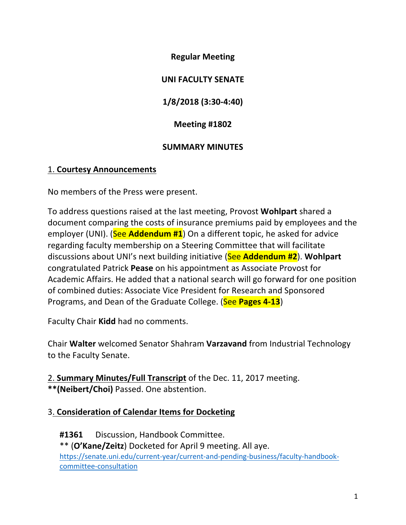**Regular Meeting**

### **UNI FACULTY SENATE**

**1/8/2018 (3:30-4:40)**

**Meeting #1802**

## **SUMMARY MINUTES**

### 1. **Courtesy Announcements**

No members of the Press were present.

To address questions raised at the last meeting, Provost **Wohlpart** shared a document comparing the costs of insurance premiums paid by employees and the employer (UNI). (See Addendum #1) On a different topic, he asked for advice regarding faculty membership on a Steering Committee that will facilitate discussions about UNI's next building initiative (See **Addendum #2**). **Wohlpart** congratulated Patrick **Pease** on his appointment as Associate Provost for Academic Affairs. He added that a national search will go forward for one position of combined duties: Associate Vice President for Research and Sponsored Programs, and Dean of the Graduate College. (See Pages 4-13)

Faculty Chair **Kidd** had no comments.

Chair **Walter** welcomed Senator Shahram **Varzavand** from Industrial Technology to the Faculty Senate.

2. **Summary Minutes/Full Transcript** of the Dec. 11, 2017 meeting. \*\*(Neibert/Choi) Passed. One abstention.

## 3. **Consideration of Calendar Items for Docketing**

#1361 Discussion, Handbook Committee. \*\* (O'Kane/Zeitz) Docketed for April 9 meeting. All aye. https://senate.uni.edu/current-year/current-and-pending-business/faculty-handbookcommittee-consultation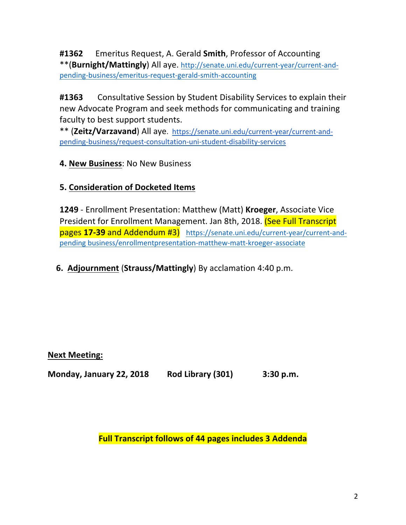**#1362** Emeritus Request, A. Gerald **Smith**, Professor of Accounting \*\*(**Burnight/Mattingly**) All aye. http://senate.uni.edu/current-year/current-andpending-business/emeritus-request-gerald-smith-accounting

#1363 Consultative Session by Student Disability Services to explain their new Advocate Program and seek methods for communicating and training faculty to best support students.

\*\* (Zeitz/Varzavand) All aye. https://senate.uni.edu/current-year/current-andpending-business/request-consultation-uni-student-disability-services

## **4. New Business: No New Business**

## **5. Consideration of Docketed Items**

**1249** - Enrollment Presentation: Matthew (Matt) **Kroeger**, Associate Vice President for Enrollment Management. Jan 8th, 2018. (See Full Transcript pages 17-39 and Addendum #3) https://senate.uni.edu/current-year/current-andpending business/enrollmentpresentation-matthew-matt-kroeger-associate

## **6. Adjournment (Strauss/Mattingly)** By acclamation 4:40 p.m.

#### **Next Meeting:**

**Monday, January 22, 2018 Rod Library (301) 3:30 p.m.** 

**Full Transcript follows of 44 pages includes 3 Addenda**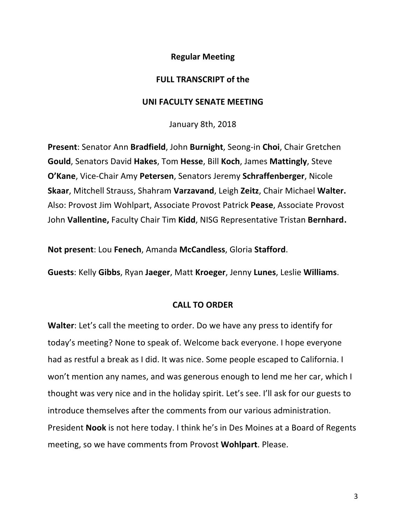#### **Regular Meeting**

#### **FULL TRANSCRIPT of the**

#### **UNI FACULTY SENATE MEETING**

January 8th, 2018

**Present:** Senator Ann **Bradfield**, John **Burnight**, Seong-in **Choi**, Chair Gretchen **Gould**, Senators David Hakes, Tom Hesse, Bill Koch, James Mattingly, Steve **O'Kane, Vice-Chair Amy Petersen, Senators Jeremy Schraffenberger, Nicole Skaar, Mitchell Strauss, Shahram Varzavand, Leigh Zeitz, Chair Michael Walter.** Also: Provost Jim Wohlpart, Associate Provost Patrick Pease, Associate Provost John Vallentine, Faculty Chair Tim Kidd, NISG Representative Tristan Bernhard.

**Not present:** Lou Fenech, Amanda McCandless, Gloria Stafford.

**Guests**: Kelly Gibbs, Ryan Jaeger, Matt Kroeger, Jenny Lunes, Leslie Williams.

#### **CALL TO ORDER**

**Walter:** Let's call the meeting to order. Do we have any press to identify for today's meeting? None to speak of. Welcome back everyone. I hope everyone had as restful a break as I did. It was nice. Some people escaped to California. I won't mention any names, and was generous enough to lend me her car, which I thought was very nice and in the holiday spirit. Let's see. I'll ask for our guests to introduce themselves after the comments from our various administration. President **Nook** is not here today. I think he's in Des Moines at a Board of Regents meeting, so we have comments from Provost Wohlpart. Please.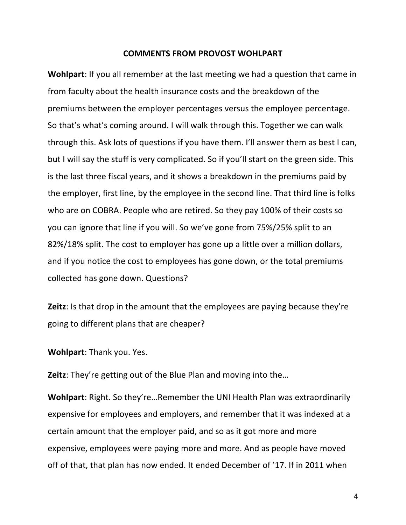#### **COMMENTS FROM PROVOST WOHLPART**

**Wohlpart**: If you all remember at the last meeting we had a question that came in from faculty about the health insurance costs and the breakdown of the premiums between the employer percentages versus the employee percentage. So that's what's coming around. I will walk through this. Together we can walk through this. Ask lots of questions if you have them. I'll answer them as best I can, but I will say the stuff is very complicated. So if you'll start on the green side. This is the last three fiscal years, and it shows a breakdown in the premiums paid by the employer, first line, by the employee in the second line. That third line is folks who are on COBRA. People who are retired. So they pay 100% of their costs so you can ignore that line if you will. So we've gone from 75%/25% split to an 82%/18% split. The cost to employer has gone up a little over a million dollars, and if you notice the cost to employees has gone down, or the total premiums collected has gone down. Questions?

**Zeitz**: Is that drop in the amount that the employees are paying because they're going to different plans that are cheaper?

**Wohlpart:** Thank you. Yes.

**Zeitz**: They're getting out of the Blue Plan and moving into the...

**Wohlpart:** Right. So they're...Remember the UNI Health Plan was extraordinarily expensive for employees and employers, and remember that it was indexed at a certain amount that the employer paid, and so as it got more and more expensive, employees were paying more and more. And as people have moved off of that, that plan has now ended. It ended December of '17. If in 2011 when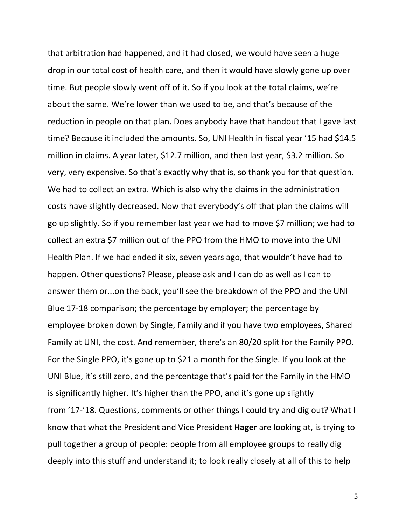that arbitration had happened, and it had closed, we would have seen a huge drop in our total cost of health care, and then it would have slowly gone up over time. But people slowly went off of it. So if you look at the total claims, we're about the same. We're lower than we used to be, and that's because of the reduction in people on that plan. Does anybody have that handout that I gave last time? Because it included the amounts. So, UNI Health in fiscal year '15 had \$14.5 million in claims. A year later, \$12.7 million, and then last year, \$3.2 million. So very, very expensive. So that's exactly why that is, so thank you for that question. We had to collect an extra. Which is also why the claims in the administration costs have slightly decreased. Now that everybody's off that plan the claims will go up slightly. So if you remember last year we had to move \$7 million; we had to collect an extra \$7 million out of the PPO from the HMO to move into the UNI Health Plan. If we had ended it six, seven years ago, that wouldn't have had to happen. Other questions? Please, please ask and I can do as well as I can to answer them or...on the back, you'll see the breakdown of the PPO and the UNI Blue 17-18 comparison; the percentage by employer; the percentage by employee broken down by Single, Family and if you have two employees, Shared Family at UNI, the cost. And remember, there's an 80/20 split for the Family PPO. For the Single PPO, it's gone up to \$21 a month for the Single. If you look at the UNI Blue, it's still zero, and the percentage that's paid for the Family in the HMO is significantly higher. It's higher than the PPO, and it's gone up slightly from '17-'18. Questions, comments or other things I could try and dig out? What I know that what the President and Vice President **Hager** are looking at, is trying to pull together a group of people: people from all employee groups to really dig deeply into this stuff and understand it; to look really closely at all of this to help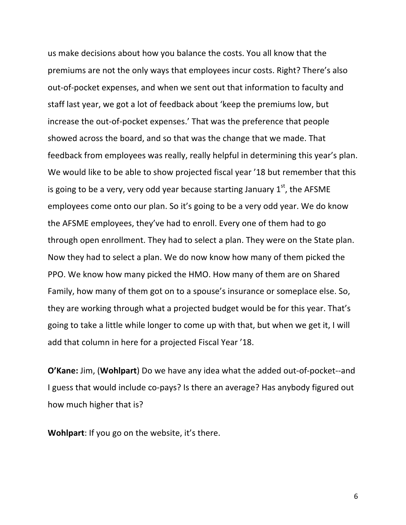us make decisions about how you balance the costs. You all know that the premiums are not the only ways that employees incur costs. Right? There's also out-of-pocket expenses, and when we sent out that information to faculty and staff last year, we got a lot of feedback about 'keep the premiums low, but increase the out-of-pocket expenses.' That was the preference that people showed across the board, and so that was the change that we made. That feedback from employees was really, really helpful in determining this year's plan. We would like to be able to show projected fiscal year '18 but remember that this is going to be a very, very odd year because starting January  $1<sup>st</sup>$ , the AFSME employees come onto our plan. So it's going to be a very odd year. We do know the AFSME employees, they've had to enroll. Every one of them had to go through open enrollment. They had to select a plan. They were on the State plan. Now they had to select a plan. We do now know how many of them picked the PPO. We know how many picked the HMO. How many of them are on Shared Family, how many of them got on to a spouse's insurance or someplace else. So, they are working through what a projected budget would be for this year. That's going to take a little while longer to come up with that, but when we get it, I will add that column in here for a projected Fiscal Year '18.

**O'Kane:** Jim, (Wohlpart) Do we have any idea what the added out-of-pocket--and I guess that would include co-pays? Is there an average? Has anybody figured out how much higher that is?

**Wohlpart:** If you go on the website, it's there.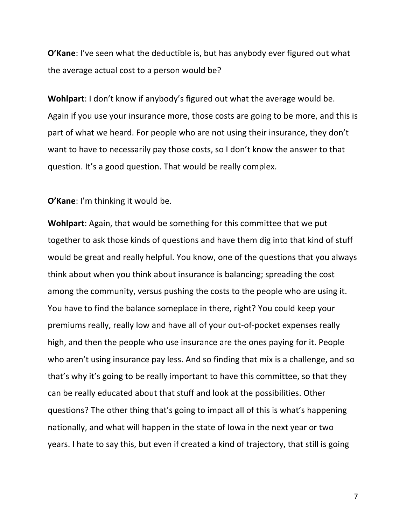**O'Kane**: I've seen what the deductible is, but has anybody ever figured out what the average actual cost to a person would be?

**Wohlpart:** I don't know if anybody's figured out what the average would be. Again if you use your insurance more, those costs are going to be more, and this is part of what we heard. For people who are not using their insurance, they don't want to have to necessarily pay those costs, so I don't know the answer to that question. It's a good question. That would be really complex.

**O'Kane:** I'm thinking it would be.

**Wohlpart:** Again, that would be something for this committee that we put together to ask those kinds of questions and have them dig into that kind of stuff would be great and really helpful. You know, one of the questions that you always think about when you think about insurance is balancing; spreading the cost among the community, versus pushing the costs to the people who are using it. You have to find the balance someplace in there, right? You could keep your premiums really, really low and have all of your out-of-pocket expenses really high, and then the people who use insurance are the ones paying for it. People who aren't using insurance pay less. And so finding that mix is a challenge, and so that's why it's going to be really important to have this committee, so that they can be really educated about that stuff and look at the possibilities. Other questions? The other thing that's going to impact all of this is what's happening nationally, and what will happen in the state of lowa in the next year or two years. I hate to say this, but even if created a kind of trajectory, that still is going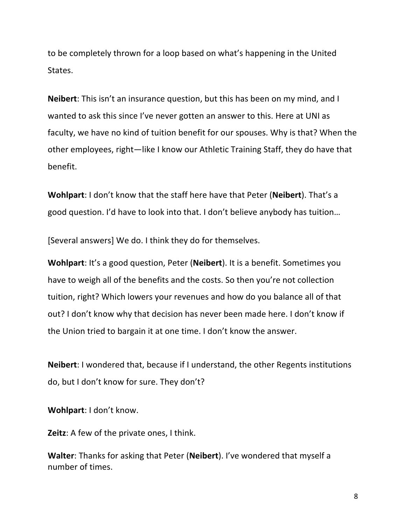to be completely thrown for a loop based on what's happening in the United States.

**Neibert**: This isn't an insurance question, but this has been on my mind, and I wanted to ask this since I've never gotten an answer to this. Here at UNI as faculty, we have no kind of tuition benefit for our spouses. Why is that? When the other employees, right—like I know our Athletic Training Staff, they do have that benefit.

**Wohlpart:** I don't know that the staff here have that Peter (**Neibert**). That's a good question. I'd have to look into that. I don't believe anybody has tuition...

[Several answers] We do. I think they do for themselves.

**Wohlpart**: It's a good question, Peter (**Neibert**). It is a benefit. Sometimes you have to weigh all of the benefits and the costs. So then you're not collection tuition, right? Which lowers your revenues and how do you balance all of that out? I don't know why that decision has never been made here. I don't know if the Union tried to bargain it at one time. I don't know the answer.

**Neibert**: I wondered that, because if I understand, the other Regents institutions do, but I don't know for sure. They don't?

**Wohlpart:** I don't know.

**Zeitz**: A few of the private ones, I think.

**Walter:** Thanks for asking that Peter (**Neibert**). I've wondered that myself a number of times.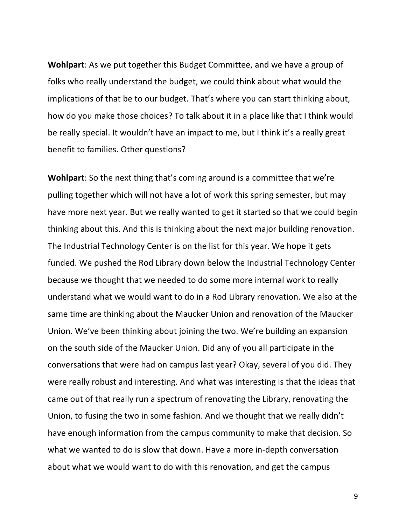**Wohlpart:** As we put together this Budget Committee, and we have a group of folks who really understand the budget, we could think about what would the implications of that be to our budget. That's where you can start thinking about, how do you make those choices? To talk about it in a place like that I think would be really special. It wouldn't have an impact to me, but I think it's a really great benefit to families. Other questions?

**Wohlpart**: So the next thing that's coming around is a committee that we're pulling together which will not have a lot of work this spring semester, but may have more next year. But we really wanted to get it started so that we could begin thinking about this. And this is thinking about the next major building renovation. The Industrial Technology Center is on the list for this year. We hope it gets funded. We pushed the Rod Library down below the Industrial Technology Center because we thought that we needed to do some more internal work to really understand what we would want to do in a Rod Library renovation. We also at the same time are thinking about the Maucker Union and renovation of the Maucker Union. We've been thinking about joining the two. We're building an expansion on the south side of the Maucker Union. Did any of you all participate in the conversations that were had on campus last year? Okay, several of you did. They were really robust and interesting. And what was interesting is that the ideas that came out of that really run a spectrum of renovating the Library, renovating the Union, to fusing the two in some fashion. And we thought that we really didn't have enough information from the campus community to make that decision. So what we wanted to do is slow that down. Have a more in-depth conversation about what we would want to do with this renovation, and get the campus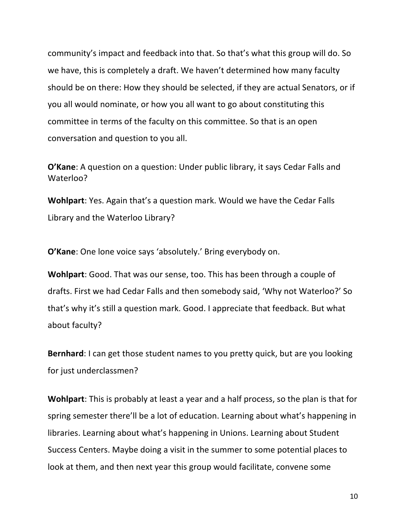community's impact and feedback into that. So that's what this group will do. So we have, this is completely a draft. We haven't determined how many faculty should be on there: How they should be selected, if they are actual Senators, or if you all would nominate, or how you all want to go about constituting this committee in terms of the faculty on this committee. So that is an open conversation and question to you all.

**O'Kane**: A question on a question: Under public library, it says Cedar Falls and Waterloo?

**Wohlpart:** Yes. Again that's a question mark. Would we have the Cedar Falls Library and the Waterloo Library?

**O'Kane:** One lone voice says 'absolutely.' Bring everybody on.

**Wohlpart:** Good. That was our sense, too. This has been through a couple of drafts. First we had Cedar Falls and then somebody said, 'Why not Waterloo?' So that's why it's still a question mark. Good. I appreciate that feedback. But what about faculty?

**Bernhard**: I can get those student names to you pretty quick, but are you looking for just underclassmen?

**Wohlpart**: This is probably at least a year and a half process, so the plan is that for spring semester there'll be a lot of education. Learning about what's happening in libraries. Learning about what's happening in Unions. Learning about Student Success Centers. Maybe doing a visit in the summer to some potential places to look at them, and then next year this group would facilitate, convene some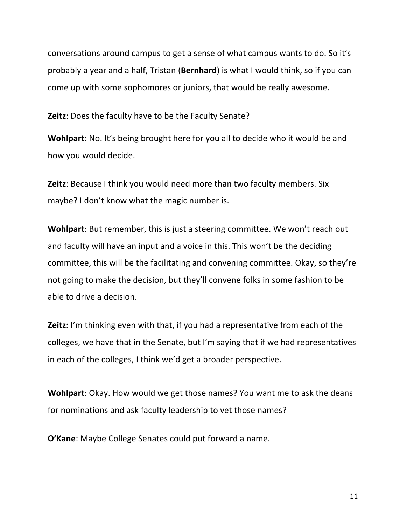conversations around campus to get a sense of what campus wants to do. So it's probably a year and a half, Tristan (**Bernhard**) is what I would think, so if you can come up with some sophomores or juniors, that would be really awesome.

**Zeitz**: Does the faculty have to be the Faculty Senate?

**Wohlpart:** No. It's being brought here for you all to decide who it would be and how you would decide.

**Zeitz**: Because I think you would need more than two faculty members. Six maybe? I don't know what the magic number is.

**Wohlpart**: But remember, this is just a steering committee. We won't reach out and faculty will have an input and a voice in this. This won't be the deciding committee, this will be the facilitating and convening committee. Okay, so they're not going to make the decision, but they'll convene folks in some fashion to be able to drive a decision.

**Zeitz:** I'm thinking even with that, if you had a representative from each of the colleges, we have that in the Senate, but I'm saying that if we had representatives in each of the colleges, I think we'd get a broader perspective.

**Wohlpart**: Okay. How would we get those names? You want me to ask the deans for nominations and ask faculty leadership to vet those names?

**O'Kane:** Maybe College Senates could put forward a name.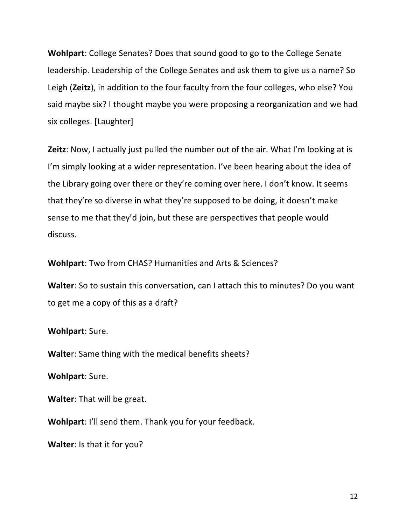**Wohlpart:** College Senates? Does that sound good to go to the College Senate leadership. Leadership of the College Senates and ask them to give us a name? So Leigh (Zeitz), in addition to the four faculty from the four colleges, who else? You said maybe six? I thought maybe you were proposing a reorganization and we had six colleges. [Laughter]

**Zeitz**: Now, I actually just pulled the number out of the air. What I'm looking at is I'm simply looking at a wider representation. I've been hearing about the idea of the Library going over there or they're coming over here. I don't know. It seems that they're so diverse in what they're supposed to be doing, it doesn't make sense to me that they'd join, but these are perspectives that people would discuss.

**Wohlpart:** Two from CHAS? Humanities and Arts & Sciences?

**Walter:** So to sustain this conversation, can I attach this to minutes? Do you want to get me a copy of this as a draft?

#### **Wohlpart: Sure.**

**Walter:** Same thing with the medical benefits sheets?

**Wohlpart: Sure.** 

**Walter:** That will be great.

**Wohlpart:** I'll send them. Thank you for your feedback.

**Walter:** Is that it for you?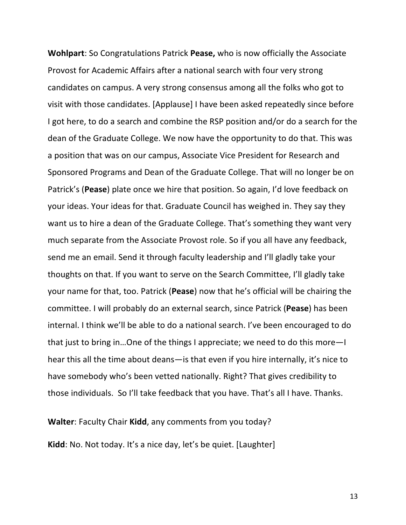**Wohlpart:** So Congratulations Patrick **Pease,** who is now officially the Associate Provost for Academic Affairs after a national search with four very strong candidates on campus. A very strong consensus among all the folks who got to visit with those candidates. [Applause] I have been asked repeatedly since before I got here, to do a search and combine the RSP position and/or do a search for the dean of the Graduate College. We now have the opportunity to do that. This was a position that was on our campus, Associate Vice President for Research and Sponsored Programs and Dean of the Graduate College. That will no longer be on Patrick's (**Pease**) plate once we hire that position. So again, I'd love feedback on your ideas. Your ideas for that. Graduate Council has weighed in. They say they want us to hire a dean of the Graduate College. That's something they want very much separate from the Associate Provost role. So if you all have any feedback, send me an email. Send it through faculty leadership and I'll gladly take your thoughts on that. If you want to serve on the Search Committee, I'll gladly take your name for that, too. Patrick (Pease) now that he's official will be chairing the committee. I will probably do an external search, since Patrick (Pease) has been internal. I think we'll be able to do a national search. I've been encouraged to do that just to bring in...One of the things I appreciate; we need to do this more—I hear this all the time about deans—is that even if you hire internally, it's nice to have somebody who's been vetted nationally. Right? That gives credibility to those individuals. So I'll take feedback that you have. That's all I have. Thanks.

**Walter:** Faculty Chair Kidd, any comments from you today?

**Kidd**: No. Not today. It's a nice day, let's be quiet. [Laughter]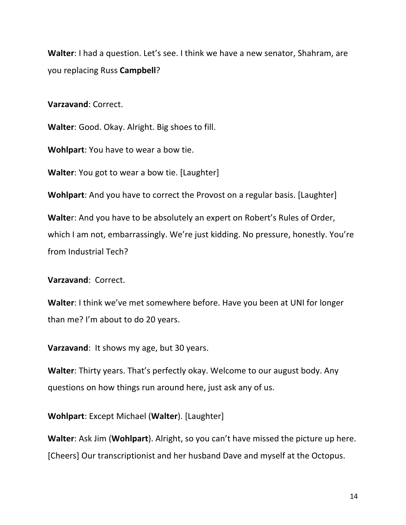**Walter**: I had a question. Let's see. I think we have a new senator, Shahram, are you replacing Russ **Campbell**?

**Varzavand**: Correct.

**Walter:** Good. Okay. Alright. Big shoes to fill.

**Wohlpart:** You have to wear a bow tie.

**Walter**: You got to wear a bow tie. [Laughter]

**Wohlpart:** And you have to correct the Provost on a regular basis. [Laughter]

**Walter:** And you have to be absolutely an expert on Robert's Rules of Order, which I am not, embarrassingly. We're just kidding. No pressure, honestly. You're from Industrial Tech?

**Varzavand**: Correct.

**Walter:** I think we've met somewhere before. Have you been at UNI for longer than me? I'm about to do 20 years.

**Varzavand:** It shows my age, but 30 years.

**Walter:** Thirty years. That's perfectly okay. Welcome to our august body. Any questions on how things run around here, just ask any of us.

**Wohlpart:** Except Michael (Walter). [Laughter]

**Walter:** Ask Jim (**Wohlpart**). Alright, so you can't have missed the picture up here. [Cheers] Our transcriptionist and her husband Dave and myself at the Octopus.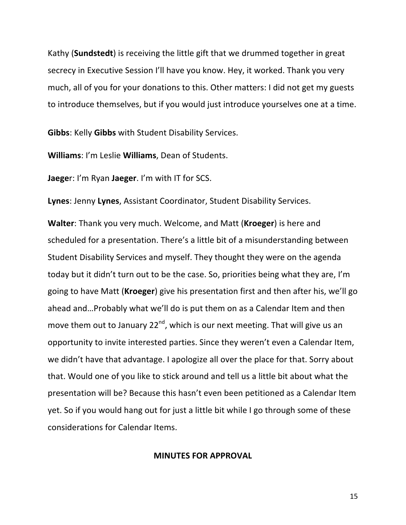Kathy (**Sundstedt**) is receiving the little gift that we drummed together in great secrecy in Executive Session I'll have you know. Hey, it worked. Thank you very much, all of you for your donations to this. Other matters: I did not get my guests to introduce themselves, but if you would just introduce yourselves one at a time.

**Gibbs:** Kelly Gibbs with Student Disability Services.

**Williams:** I'm Leslie **Williams**, Dean of Students.

**Jaeger:** I'm Ryan **Jaeger**. I'm with IT for SCS.

**Lynes:** Jenny Lynes, Assistant Coordinator, Student Disability Services.

**Walter:** Thank you very much. Welcome, and Matt (**Kroeger**) is here and scheduled for a presentation. There's a little bit of a misunderstanding between Student Disability Services and myself. They thought they were on the agenda today but it didn't turn out to be the case. So, priorities being what they are, I'm going to have Matt (**Kroeger**) give his presentation first and then after his, we'll go ahead and...Probably what we'll do is put them on as a Calendar Item and then move them out to January  $22^{nd}$ , which is our next meeting. That will give us an opportunity to invite interested parties. Since they weren't even a Calendar Item, we didn't have that advantage. I apologize all over the place for that. Sorry about that. Would one of you like to stick around and tell us a little bit about what the presentation will be? Because this hasn't even been petitioned as a Calendar Item yet. So if you would hang out for just a little bit while I go through some of these considerations for Calendar Items.

**MINUTES FOR APPROVAL**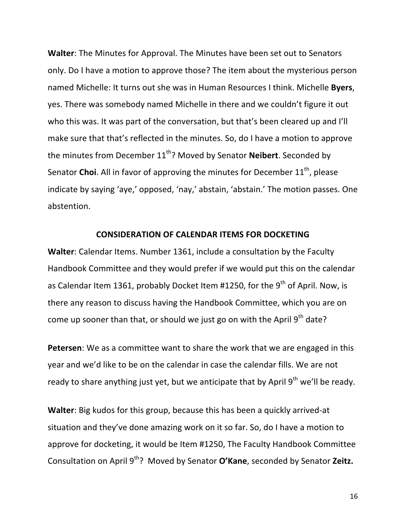**Walter:** The Minutes for Approval. The Minutes have been set out to Senators only. Do I have a motion to approve those? The item about the mysterious person named Michelle: It turns out she was in Human Resources I think. Michelle **Byers**, yes. There was somebody named Michelle in there and we couldn't figure it out who this was. It was part of the conversation, but that's been cleared up and I'll make sure that that's reflected in the minutes. So, do I have a motion to approve the minutes from December 11<sup>th</sup>? Moved by Senator **Neibert**. Seconded by Senator **Choi**. All in favor of approving the minutes for December 11<sup>th</sup>, please indicate by saying 'aye,' opposed, 'nay,' abstain, 'abstain.' The motion passes. One abstention.

#### **CONSIDERATION OF CALENDAR ITEMS FOR DOCKETING**

**Walter:** Calendar Items. Number 1361, include a consultation by the Faculty Handbook Committee and they would prefer if we would put this on the calendar as Calendar Item 1361, probably Docket Item #1250, for the  $9<sup>th</sup>$  of April. Now, is there any reason to discuss having the Handbook Committee, which you are on come up sooner than that, or should we just go on with the April  $9^{th}$  date?

Petersen: We as a committee want to share the work that we are engaged in this year and we'd like to be on the calendar in case the calendar fills. We are not ready to share anything just yet, but we anticipate that by April  $9^{th}$  we'll be ready.

**Walter:** Big kudos for this group, because this has been a quickly arrived-at situation and they've done amazing work on it so far. So, do I have a motion to approve for docketing, it would be Item #1250, The Faculty Handbook Committee Consultation on April 9<sup>th</sup>? Moved by Senator O'Kane, seconded by Senator Zeitz.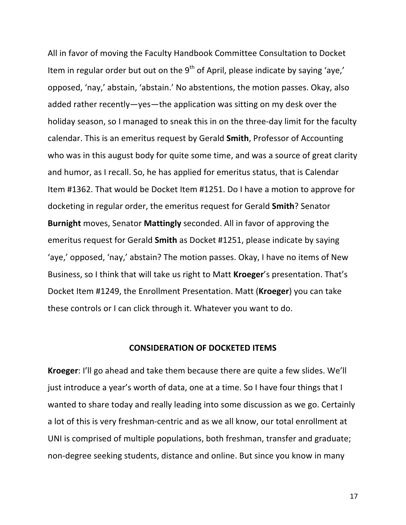All in favor of moving the Faculty Handbook Committee Consultation to Docket Item in regular order but out on the  $9<sup>th</sup>$  of April, please indicate by saying 'aye,' opposed, 'nay,' abstain, 'abstain.' No abstentions, the motion passes. Okay, also added rather recently—yes—the application was sitting on my desk over the holiday season, so I managed to sneak this in on the three-day limit for the faculty calendar. This is an emeritus request by Gerald **Smith**, Professor of Accounting who was in this august body for quite some time, and was a source of great clarity and humor, as I recall. So, he has applied for emeritus status, that is Calendar Item #1362. That would be Docket Item #1251. Do I have a motion to approve for docketing in regular order, the emeritus request for Gerald **Smith**? Senator **Burnight** moves, Senator **Mattingly** seconded. All in favor of approving the emeritus request for Gerald **Smith** as Docket #1251, please indicate by saying 'aye,' opposed, 'nay,' abstain? The motion passes. Okay, I have no items of New Business, so I think that will take us right to Matt **Kroeger**'s presentation. That's Docket Item #1249, the Enrollment Presentation. Matt (**Kroeger**) you can take these controls or I can click through it. Whatever you want to do.

#### **CONSIDERATION OF DOCKETED ITEMS**

**Kroeger:** I'll go ahead and take them because there are quite a few slides. We'll just introduce a year's worth of data, one at a time. So I have four things that I wanted to share today and really leading into some discussion as we go. Certainly a lot of this is very freshman-centric and as we all know, our total enrollment at UNI is comprised of multiple populations, both freshman, transfer and graduate; non-degree seeking students, distance and online. But since you know in many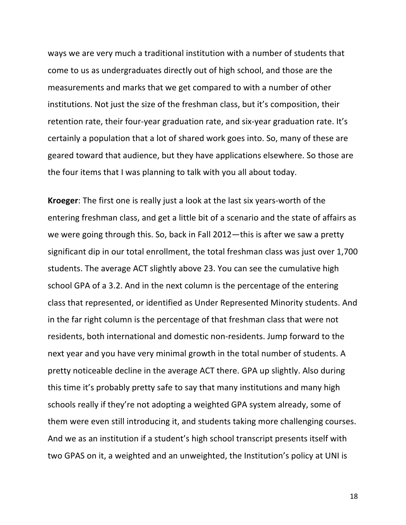ways we are very much a traditional institution with a number of students that come to us as undergraduates directly out of high school, and those are the measurements and marks that we get compared to with a number of other institutions. Not just the size of the freshman class, but it's composition, their retention rate, their four-year graduation rate, and six-year graduation rate. It's certainly a population that a lot of shared work goes into. So, many of these are geared toward that audience, but they have applications elsewhere. So those are the four items that I was planning to talk with you all about today.

**Kroeger:** The first one is really just a look at the last six years-worth of the entering freshman class, and get a little bit of a scenario and the state of affairs as we were going through this. So, back in Fall 2012—this is after we saw a pretty significant dip in our total enrollment, the total freshman class was just over 1,700 students. The average ACT slightly above 23. You can see the cumulative high school GPA of a 3.2. And in the next column is the percentage of the entering class that represented, or identified as Under Represented Minority students. And in the far right column is the percentage of that freshman class that were not residents, both international and domestic non-residents. Jump forward to the next year and you have very minimal growth in the total number of students. A pretty noticeable decline in the average ACT there. GPA up slightly. Also during this time it's probably pretty safe to say that many institutions and many high schools really if they're not adopting a weighted GPA system already, some of them were even still introducing it, and students taking more challenging courses. And we as an institution if a student's high school transcript presents itself with two GPAS on it, a weighted and an unweighted, the Institution's policy at UNI is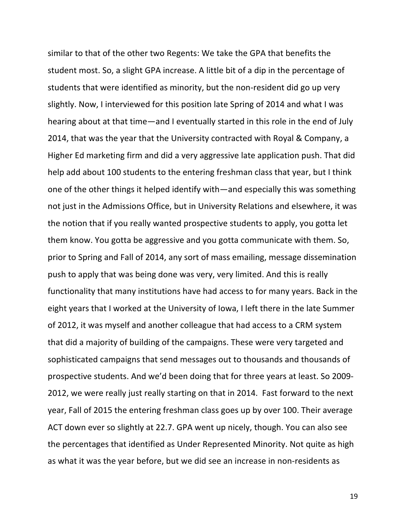similar to that of the other two Regents: We take the GPA that benefits the student most. So, a slight GPA increase. A little bit of a dip in the percentage of students that were identified as minority, but the non-resident did go up very slightly. Now, I interviewed for this position late Spring of 2014 and what I was hearing about at that time—and I eventually started in this role in the end of July 2014, that was the year that the University contracted with Royal & Company, a Higher Ed marketing firm and did a very aggressive late application push. That did help add about 100 students to the entering freshman class that year, but I think one of the other things it helped identify with—and especially this was something not just in the Admissions Office, but in University Relations and elsewhere, it was the notion that if you really wanted prospective students to apply, you gotta let them know. You gotta be aggressive and you gotta communicate with them. So, prior to Spring and Fall of 2014, any sort of mass emailing, message dissemination push to apply that was being done was very, very limited. And this is really functionality that many institutions have had access to for many years. Back in the eight years that I worked at the University of Iowa, I left there in the late Summer of 2012, it was myself and another colleague that had access to a CRM system that did a majority of building of the campaigns. These were very targeted and sophisticated campaigns that send messages out to thousands and thousands of prospective students. And we'd been doing that for three years at least. So 2009-2012, we were really just really starting on that in 2014. Fast forward to the next year, Fall of 2015 the entering freshman class goes up by over 100. Their average ACT down ever so slightly at 22.7. GPA went up nicely, though. You can also see the percentages that identified as Under Represented Minority. Not quite as high as what it was the year before, but we did see an increase in non-residents as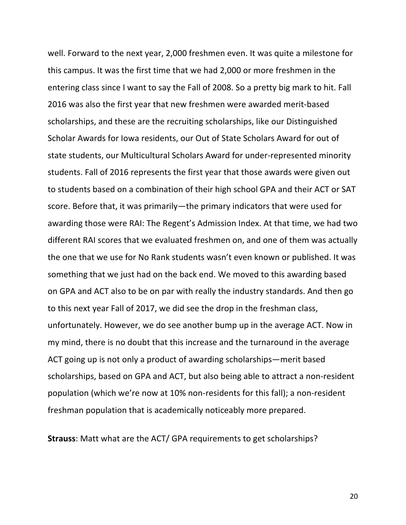well. Forward to the next year, 2,000 freshmen even. It was quite a milestone for this campus. It was the first time that we had 2,000 or more freshmen in the entering class since I want to say the Fall of 2008. So a pretty big mark to hit. Fall 2016 was also the first year that new freshmen were awarded merit-based scholarships, and these are the recruiting scholarships, like our Distinguished Scholar Awards for Iowa residents, our Out of State Scholars Award for out of state students, our Multicultural Scholars Award for under-represented minority students. Fall of 2016 represents the first year that those awards were given out to students based on a combination of their high school GPA and their ACT or SAT score. Before that, it was primarily—the primary indicators that were used for awarding those were RAI: The Regent's Admission Index. At that time, we had two different RAI scores that we evaluated freshmen on, and one of them was actually the one that we use for No Rank students wasn't even known or published. It was something that we just had on the back end. We moved to this awarding based on GPA and ACT also to be on par with really the industry standards. And then go to this next year Fall of 2017, we did see the drop in the freshman class, unfortunately. However, we do see another bump up in the average ACT. Now in my mind, there is no doubt that this increase and the turnaround in the average ACT going up is not only a product of awarding scholarships—merit based scholarships, based on GPA and ACT, but also being able to attract a non-resident population (which we're now at 10% non-residents for this fall); a non-resident freshman population that is academically noticeably more prepared.

**Strauss:** Matt what are the ACT/ GPA requirements to get scholarships?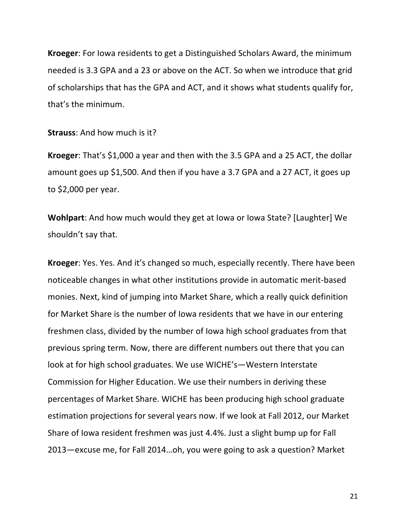**Kroeger:** For lowa residents to get a Distinguished Scholars Award, the minimum needed is 3.3 GPA and a 23 or above on the ACT. So when we introduce that grid of scholarships that has the GPA and ACT, and it shows what students qualify for, that's the minimum.

**Strauss:** And how much is it?

**Kroeger:** That's \$1,000 a year and then with the 3.5 GPA and a 25 ACT, the dollar amount goes up \$1,500. And then if you have a 3.7 GPA and a 27 ACT, it goes up to  $$2,000$  per year.

**Wohlpart:** And how much would they get at lowa or lowa State? [Laughter] We shouldn't say that.

**Kroeger:** Yes. Yes. And it's changed so much, especially recently. There have been noticeable changes in what other institutions provide in automatic merit-based monies. Next, kind of jumping into Market Share, which a really quick definition for Market Share is the number of lowa residents that we have in our entering freshmen class, divided by the number of lowa high school graduates from that previous spring term. Now, there are different numbers out there that you can look at for high school graduates. We use WICHE's-Western Interstate Commission for Higher Education. We use their numbers in deriving these percentages of Market Share. WICHE has been producing high school graduate estimation projections for several years now. If we look at Fall 2012, our Market Share of lowa resident freshmen was just 4.4%. Just a slight bump up for Fall 2013—excuse me, for Fall 2014...oh, you were going to ask a question? Market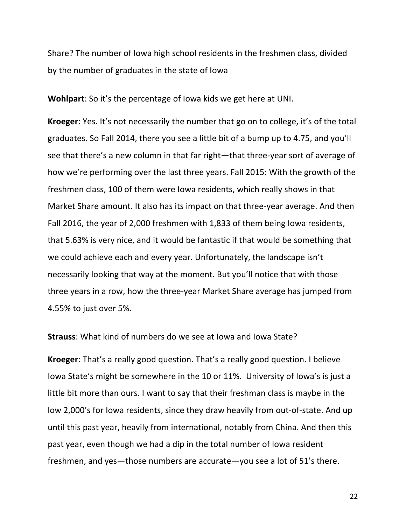Share? The number of lowa high school residents in the freshmen class, divided by the number of graduates in the state of lowa

**Wohlpart:** So it's the percentage of lowa kids we get here at UNI.

**Kroeger:** Yes. It's not necessarily the number that go on to college, it's of the total graduates. So Fall 2014, there you see a little bit of a bump up to 4.75, and you'll see that there's a new column in that far right—that three-year sort of average of how we're performing over the last three years. Fall 2015: With the growth of the freshmen class, 100 of them were lowa residents, which really shows in that Market Share amount. It also has its impact on that three-year average. And then Fall 2016, the year of 2,000 freshmen with 1,833 of them being lowa residents, that 5.63% is very nice, and it would be fantastic if that would be something that we could achieve each and every year. Unfortunately, the landscape isn't necessarily looking that way at the moment. But you'll notice that with those three years in a row, how the three-year Market Share average has jumped from 4.55% to just over 5%.

**Strauss:** What kind of numbers do we see at lowa and lowa State?

**Kroeger**: That's a really good question. That's a really good question. I believe Iowa State's might be somewhere in the 10 or 11%. University of lowa's is just a little bit more than ours. I want to say that their freshman class is maybe in the low 2,000's for lowa residents, since they draw heavily from out-of-state. And up until this past year, heavily from international, notably from China. And then this past year, even though we had a dip in the total number of lowa resident freshmen, and yes—those numbers are accurate—you see a lot of  $51$ 's there.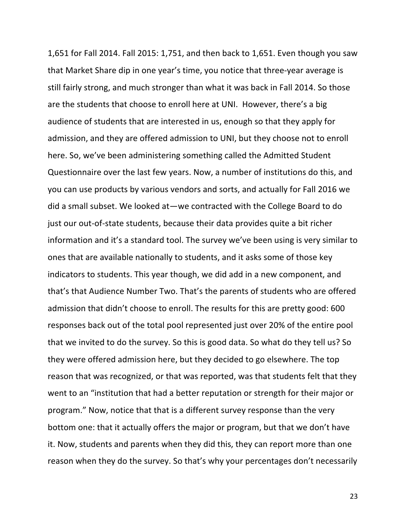1,651 for Fall 2014. Fall 2015: 1,751, and then back to 1,651. Even though you saw that Market Share dip in one year's time, you notice that three-year average is still fairly strong, and much stronger than what it was back in Fall 2014. So those are the students that choose to enroll here at UNI. However, there's a big audience of students that are interested in us, enough so that they apply for admission, and they are offered admission to UNI, but they choose not to enroll here. So, we've been administering something called the Admitted Student Questionnaire over the last few years. Now, a number of institutions do this, and you can use products by various vendors and sorts, and actually for Fall 2016 we did a small subset. We looked at—we contracted with the College Board to do just our out-of-state students, because their data provides quite a bit richer information and it's a standard tool. The survey we've been using is very similar to ones that are available nationally to students, and it asks some of those key indicators to students. This year though, we did add in a new component, and that's that Audience Number Two. That's the parents of students who are offered admission that didn't choose to enroll. The results for this are pretty good: 600 responses back out of the total pool represented just over 20% of the entire pool that we invited to do the survey. So this is good data. So what do they tell us? So they were offered admission here, but they decided to go elsewhere. The top reason that was recognized, or that was reported, was that students felt that they went to an "institution that had a better reputation or strength for their major or program." Now, notice that that is a different survey response than the very bottom one: that it actually offers the major or program, but that we don't have it. Now, students and parents when they did this, they can report more than one reason when they do the survey. So that's why your percentages don't necessarily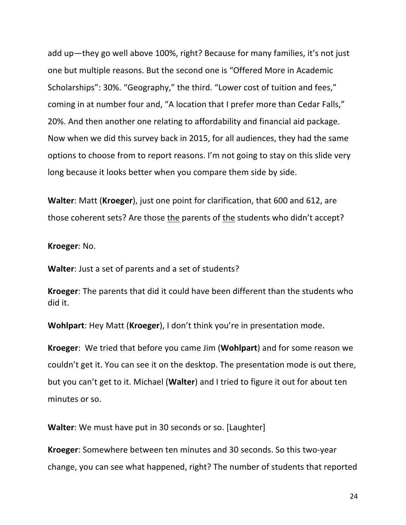add up—they go well above 100%, right? Because for many families, it's not just one but multiple reasons. But the second one is "Offered More in Academic Scholarships": 30%. "Geography," the third. "Lower cost of tuition and fees," coming in at number four and, "A location that I prefer more than Cedar Falls," 20%. And then another one relating to affordability and financial aid package. Now when we did this survey back in 2015, for all audiences, they had the same options to choose from to report reasons. I'm not going to stay on this slide very long because it looks better when you compare them side by side.

**Walter:** Matt (Kroeger), just one point for clarification, that 600 and 612, are those coherent sets? Are those the parents of the students who didn't accept?

**Kroeger:** No.

**Walter:** Just a set of parents and a set of students?

**Kroeger:** The parents that did it could have been different than the students who did it.

**Wohlpart:** Hey Matt (**Kroeger**), I don't think you're in presentation mode.

**Kroeger:** We tried that before you came Jim (**Wohlpart**) and for some reason we couldn't get it. You can see it on the desktop. The presentation mode is out there, but you can't get to it. Michael (**Walter**) and I tried to figure it out for about ten minutes or so.

**Walter**: We must have put in 30 seconds or so. [Laughter]

**Kroeger:** Somewhere between ten minutes and 30 seconds. So this two-year change, you can see what happened, right? The number of students that reported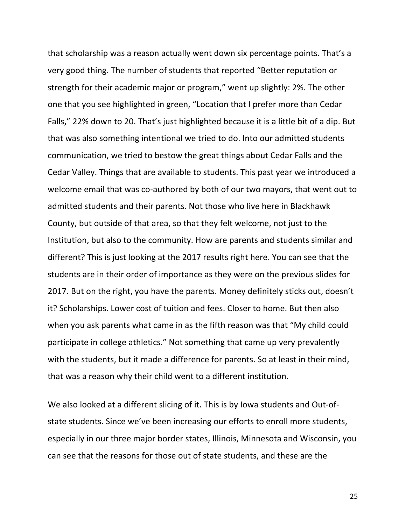that scholarship was a reason actually went down six percentage points. That's a very good thing. The number of students that reported "Better reputation or strength for their academic major or program," went up slightly: 2%. The other one that you see highlighted in green, "Location that I prefer more than Cedar Falls," 22% down to 20. That's just highlighted because it is a little bit of a dip. But that was also something intentional we tried to do. Into our admitted students communication, we tried to bestow the great things about Cedar Falls and the Cedar Valley. Things that are available to students. This past year we introduced a welcome email that was co-authored by both of our two mayors, that went out to admitted students and their parents. Not those who live here in Blackhawk County, but outside of that area, so that they felt welcome, not just to the Institution, but also to the community. How are parents and students similar and different? This is just looking at the 2017 results right here. You can see that the students are in their order of importance as they were on the previous slides for 2017. But on the right, you have the parents. Money definitely sticks out, doesn't it? Scholarships. Lower cost of tuition and fees. Closer to home. But then also when you ask parents what came in as the fifth reason was that "My child could participate in college athletics." Not something that came up very prevalently with the students, but it made a difference for parents. So at least in their mind, that was a reason why their child went to a different institution.

We also looked at a different slicing of it. This is by lowa students and Out-ofstate students. Since we've been increasing our efforts to enroll more students, especially in our three major border states, Illinois, Minnesota and Wisconsin, you can see that the reasons for those out of state students, and these are the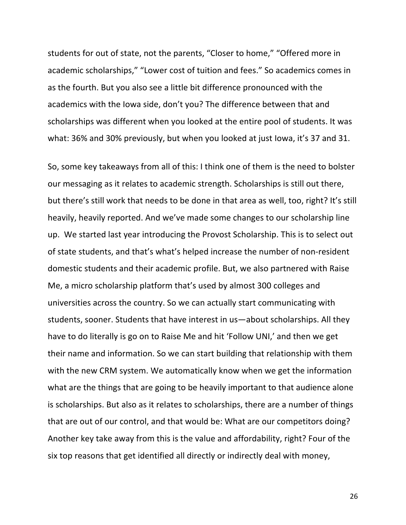students for out of state, not the parents, "Closer to home," "Offered more in academic scholarships," "Lower cost of tuition and fees." So academics comes in as the fourth. But you also see a little bit difference pronounced with the academics with the lowa side, don't you? The difference between that and scholarships was different when you looked at the entire pool of students. It was what: 36% and 30% previously, but when you looked at just lowa, it's 37 and 31.

So, some key takeaways from all of this: I think one of them is the need to bolster our messaging as it relates to academic strength. Scholarships is still out there, but there's still work that needs to be done in that area as well, too, right? It's still heavily, heavily reported. And we've made some changes to our scholarship line up. We started last year introducing the Provost Scholarship. This is to select out of state students, and that's what's helped increase the number of non-resident domestic students and their academic profile. But, we also partnered with Raise Me, a micro scholarship platform that's used by almost 300 colleges and universities across the country. So we can actually start communicating with students, sooner. Students that have interest in us—about scholarships. All they have to do literally is go on to Raise Me and hit 'Follow UNI,' and then we get their name and information. So we can start building that relationship with them with the new CRM system. We automatically know when we get the information what are the things that are going to be heavily important to that audience alone is scholarships. But also as it relates to scholarships, there are a number of things that are out of our control, and that would be: What are our competitors doing? Another key take away from this is the value and affordability, right? Four of the six top reasons that get identified all directly or indirectly deal with money,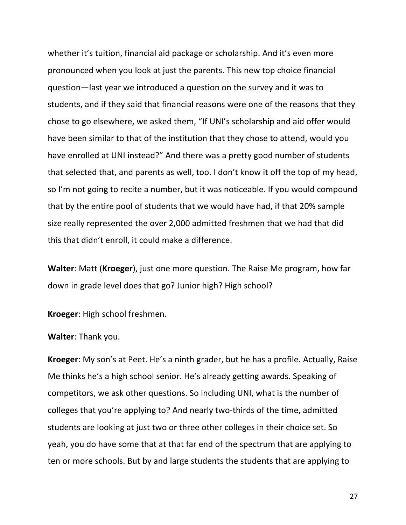whether it's tuition, financial aid package or scholarship. And it's even more pronounced when you look at just the parents. This new top choice financial question—last year we introduced a question on the survey and it was to students, and if they said that financial reasons were one of the reasons that they chose to go elsewhere, we asked them, "If UNI's scholarship and aid offer would have been similar to that of the institution that they chose to attend, would you have enrolled at UNI instead?" And there was a pretty good number of students that selected that, and parents as well, too. I don't know it off the top of my head, so I'm not going to recite a number, but it was noticeable. If you would compound that by the entire pool of students that we would have had, if that 20% sample size really represented the over 2,000 admitted freshmen that we had that did this that didn't enroll, it could make a difference.

**Walter:** Matt (**Kroeger**), just one more question. The Raise Me program, how far down in grade level does that go? Junior high? High school?

**Kroeger:** High school freshmen.

**Walter: Thank you.** 

**Kroeger**: My son's at Peet. He's a ninth grader, but he has a profile. Actually, Raise Me thinks he's a high school senior. He's already getting awards. Speaking of competitors, we ask other questions. So including UNI, what is the number of colleges that you're applying to? And nearly two-thirds of the time, admitted students are looking at just two or three other colleges in their choice set. So yeah, you do have some that at that far end of the spectrum that are applying to ten or more schools. But by and large students the students that are applying to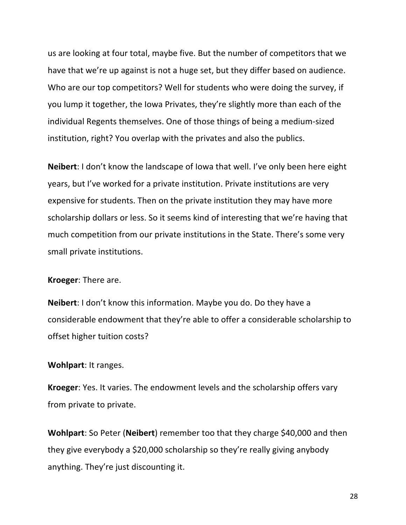us are looking at four total, maybe five. But the number of competitors that we have that we're up against is not a huge set, but they differ based on audience. Who are our top competitors? Well for students who were doing the survey, if you lump it together, the lowa Privates, they're slightly more than each of the individual Regents themselves. One of those things of being a medium-sized institution, right? You overlap with the privates and also the publics.

**Neibert**: I don't know the landscape of lowa that well. I've only been here eight years, but I've worked for a private institution. Private institutions are very expensive for students. Then on the private institution they may have more scholarship dollars or less. So it seems kind of interesting that we're having that much competition from our private institutions in the State. There's some very small private institutions.

#### **Kroeger:** There are.

**Neibert**: I don't know this information. Maybe you do. Do they have a considerable endowment that they're able to offer a considerable scholarship to offset higher tuition costs?

#### **Wohlpart: It ranges.**

**Kroeger:** Yes. It varies. The endowment levels and the scholarship offers vary from private to private.

**Wohlpart:** So Peter (**Neibert**) remember too that they charge \$40,000 and then they give everybody a \$20,000 scholarship so they're really giving anybody anything. They're just discounting it.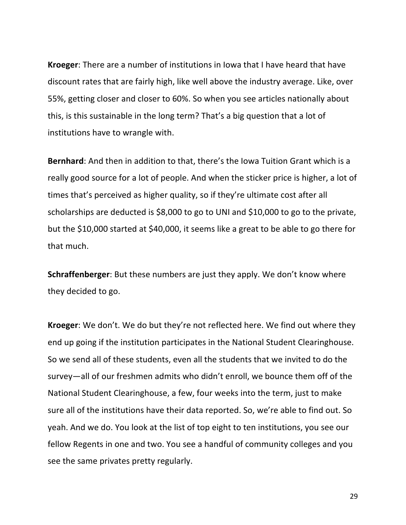**Kroeger:** There are a number of institutions in lowa that I have heard that have discount rates that are fairly high, like well above the industry average. Like, over 55%, getting closer and closer to 60%. So when you see articles nationally about this, is this sustainable in the long term? That's a big question that a lot of institutions have to wrangle with.

**Bernhard**: And then in addition to that, there's the lowa Tuition Grant which is a really good source for a lot of people. And when the sticker price is higher, a lot of times that's perceived as higher quality, so if they're ultimate cost after all scholarships are deducted is \$8,000 to go to UNI and \$10,000 to go to the private, but the \$10,000 started at \$40,000, it seems like a great to be able to go there for that much.

**Schraffenberger**: But these numbers are just they apply. We don't know where they decided to go.

**Kroeger**: We don't. We do but they're not reflected here. We find out where they end up going if the institution participates in the National Student Clearinghouse. So we send all of these students, even all the students that we invited to do the survey—all of our freshmen admits who didn't enroll, we bounce them off of the National Student Clearinghouse, a few, four weeks into the term, just to make sure all of the institutions have their data reported. So, we're able to find out. So yeah. And we do. You look at the list of top eight to ten institutions, you see our fellow Regents in one and two. You see a handful of community colleges and you see the same privates pretty regularly.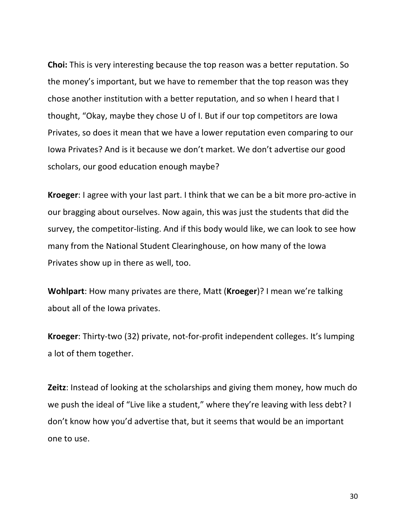**Choi:** This is very interesting because the top reason was a better reputation. So the money's important, but we have to remember that the top reason was they chose another institution with a better reputation, and so when I heard that I thought, "Okay, maybe they chose U of I. But if our top competitors are lowa Privates, so does it mean that we have a lower reputation even comparing to our Iowa Privates? And is it because we don't market. We don't advertise our good scholars, our good education enough maybe?

**Kroeger**: I agree with your last part. I think that we can be a bit more pro-active in our bragging about ourselves. Now again, this was just the students that did the survey, the competitor-listing. And if this body would like, we can look to see how many from the National Student Clearinghouse, on how many of the lowa Privates show up in there as well, too.

**Wohlpart**: How many privates are there, Matt (**Kroeger**)? I mean we're talking about all of the lowa privates.

**Kroeger**: Thirty-two (32) private, not-for-profit independent colleges. It's lumping a lot of them together.

**Zeitz**: Instead of looking at the scholarships and giving them money, how much do we push the ideal of "Live like a student," where they're leaving with less debt? I don't know how you'd advertise that, but it seems that would be an important one to use.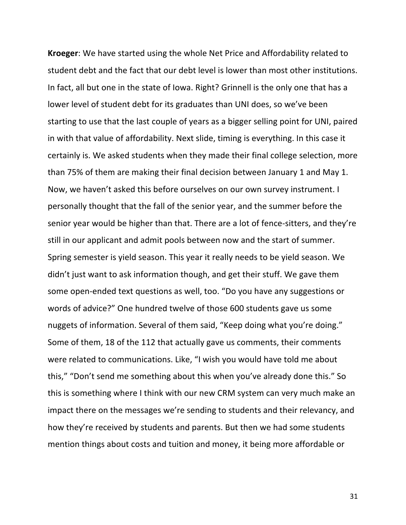**Kroeger:** We have started using the whole Net Price and Affordability related to student debt and the fact that our debt level is lower than most other institutions. In fact, all but one in the state of lowa. Right? Grinnell is the only one that has a lower level of student debt for its graduates than UNI does, so we've been starting to use that the last couple of years as a bigger selling point for UNI, paired in with that value of affordability. Next slide, timing is everything. In this case it certainly is. We asked students when they made their final college selection, more than 75% of them are making their final decision between January 1 and May 1. Now, we haven't asked this before ourselves on our own survey instrument. I personally thought that the fall of the senior year, and the summer before the senior year would be higher than that. There are a lot of fence-sitters, and they're still in our applicant and admit pools between now and the start of summer. Spring semester is yield season. This year it really needs to be yield season. We didn't just want to ask information though, and get their stuff. We gave them some open-ended text questions as well, too. "Do you have any suggestions or words of advice?" One hundred twelve of those 600 students gave us some nuggets of information. Several of them said, "Keep doing what you're doing." Some of them, 18 of the 112 that actually gave us comments, their comments were related to communications. Like, "I wish you would have told me about this," "Don't send me something about this when you've already done this." So this is something where I think with our new CRM system can very much make an impact there on the messages we're sending to students and their relevancy, and how they're received by students and parents. But then we had some students mention things about costs and tuition and money, it being more affordable or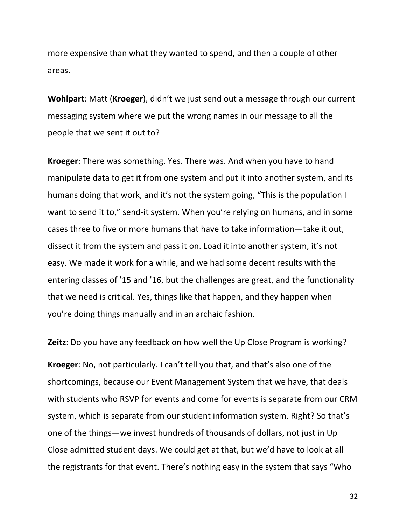more expensive than what they wanted to spend, and then a couple of other areas.

**Wohlpart:** Matt (**Kroeger**), didn't we just send out a message through our current messaging system where we put the wrong names in our message to all the people that we sent it out to?

**Kroeger:** There was something. Yes. There was. And when you have to hand manipulate data to get it from one system and put it into another system, and its humans doing that work, and it's not the system going, "This is the population I want to send it to," send-it system. When you're relying on humans, and in some cases three to five or more humans that have to take information—take it out, dissect it from the system and pass it on. Load it into another system, it's not easy. We made it work for a while, and we had some decent results with the entering classes of '15 and '16, but the challenges are great, and the functionality that we need is critical. Yes, things like that happen, and they happen when you're doing things manually and in an archaic fashion.

**Zeitz**: Do you have any feedback on how well the Up Close Program is working?

**Kroeger:** No, not particularly. I can't tell you that, and that's also one of the shortcomings, because our Event Management System that we have, that deals with students who RSVP for events and come for events is separate from our CRM system, which is separate from our student information system. Right? So that's one of the things—we invest hundreds of thousands of dollars, not just in Up Close admitted student days. We could get at that, but we'd have to look at all the registrants for that event. There's nothing easy in the system that says "Who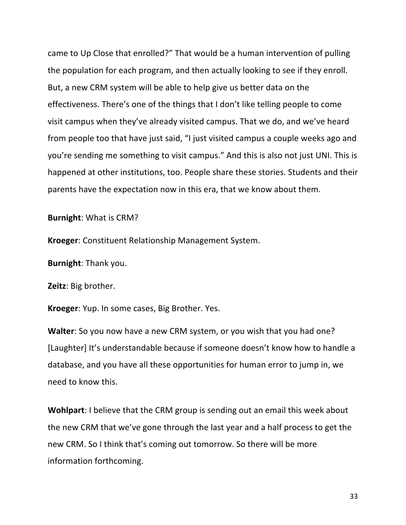came to Up Close that enrolled?" That would be a human intervention of pulling the population for each program, and then actually looking to see if they enroll. But, a new CRM system will be able to help give us better data on the effectiveness. There's one of the things that I don't like telling people to come visit campus when they've already visited campus. That we do, and we've heard from people too that have just said, "I just visited campus a couple weeks ago and you're sending me something to visit campus." And this is also not just UNI. This is happened at other institutions, too. People share these stories. Students and their parents have the expectation now in this era, that we know about them.

**Burnight:** What is CRM?

**Kroeger:** Constituent Relationship Management System.

**Burnight:** Thank you.

**Zeitz**: Big brother.

Kroeger: Yup. In some cases, Big Brother. Yes.

**Walter**: So you now have a new CRM system, or you wish that you had one? [Laughter] It's understandable because if someone doesn't know how to handle a database, and you have all these opportunities for human error to jump in, we need to know this.

**Wohlpart**: I believe that the CRM group is sending out an email this week about the new CRM that we've gone through the last year and a half process to get the new CRM. So I think that's coming out tomorrow. So there will be more information forthcoming.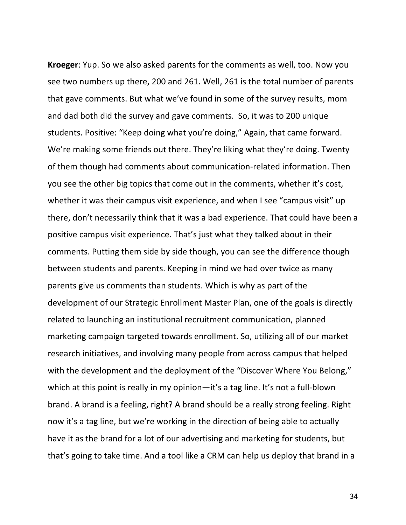**Kroeger**: Yup. So we also asked parents for the comments as well, too. Now you see two numbers up there, 200 and 261. Well, 261 is the total number of parents that gave comments. But what we've found in some of the survey results, mom and dad both did the survey and gave comments. So, it was to 200 unique students. Positive: "Keep doing what you're doing," Again, that came forward. We're making some friends out there. They're liking what they're doing. Twenty of them though had comments about communication-related information. Then you see the other big topics that come out in the comments, whether it's cost, whether it was their campus visit experience, and when I see "campus visit" up there, don't necessarily think that it was a bad experience. That could have been a positive campus visit experience. That's just what they talked about in their comments. Putting them side by side though, you can see the difference though between students and parents. Keeping in mind we had over twice as many parents give us comments than students. Which is why as part of the development of our Strategic Enrollment Master Plan, one of the goals is directly related to launching an institutional recruitment communication, planned marketing campaign targeted towards enrollment. So, utilizing all of our market research initiatives, and involving many people from across campus that helped with the development and the deployment of the "Discover Where You Belong," which at this point is really in my opinion—it's a tag line. It's not a full-blown brand. A brand is a feeling, right? A brand should be a really strong feeling. Right now it's a tag line, but we're working in the direction of being able to actually have it as the brand for a lot of our advertising and marketing for students, but that's going to take time. And a tool like a CRM can help us deploy that brand in a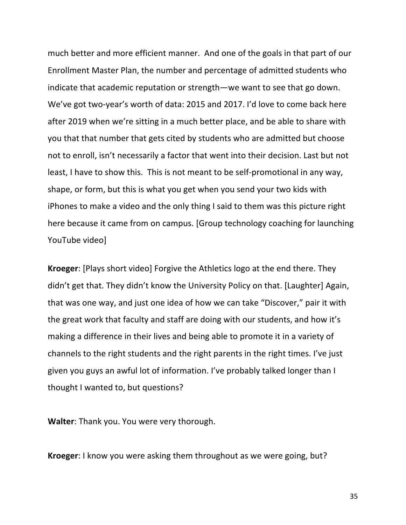much better and more efficient manner. And one of the goals in that part of our Enrollment Master Plan, the number and percentage of admitted students who indicate that academic reputation or strength—we want to see that go down. We've got two-year's worth of data: 2015 and 2017. I'd love to come back here after 2019 when we're sitting in a much better place, and be able to share with you that that number that gets cited by students who are admitted but choose not to enroll, isn't necessarily a factor that went into their decision. Last but not least, I have to show this. This is not meant to be self-promotional in any way, shape, or form, but this is what you get when you send your two kids with iPhones to make a video and the only thing I said to them was this picture right here because it came from on campus. [Group technology coaching for launching YouTube video]

**Kroeger:** [Plays short video] Forgive the Athletics logo at the end there. They didn't get that. They didn't know the University Policy on that. [Laughter] Again, that was one way, and just one idea of how we can take "Discover," pair it with the great work that faculty and staff are doing with our students, and how it's making a difference in their lives and being able to promote it in a variety of channels to the right students and the right parents in the right times. I've just given you guys an awful lot of information. I've probably talked longer than I thought I wanted to, but questions?

**Walter:** Thank you. You were very thorough.

**Kroeger**: I know you were asking them throughout as we were going, but?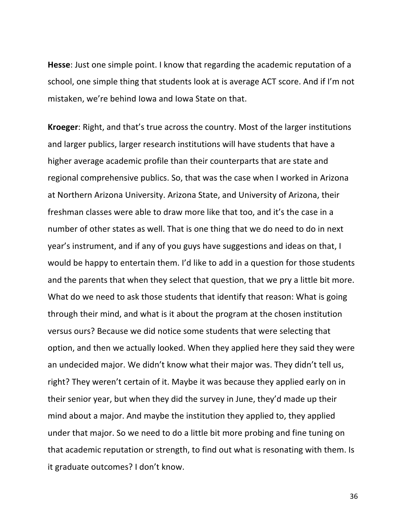**Hesse**: Just one simple point. I know that regarding the academic reputation of a school, one simple thing that students look at is average ACT score. And if I'm not mistaken, we're behind lowa and lowa State on that.

**Kroeger:** Right, and that's true across the country. Most of the larger institutions and larger publics, larger research institutions will have students that have a higher average academic profile than their counterparts that are state and regional comprehensive publics. So, that was the case when I worked in Arizona at Northern Arizona University. Arizona State, and University of Arizona, their freshman classes were able to draw more like that too, and it's the case in a number of other states as well. That is one thing that we do need to do in next year's instrument, and if any of you guys have suggestions and ideas on that, I would be happy to entertain them. I'd like to add in a question for those students and the parents that when they select that question, that we pry a little bit more. What do we need to ask those students that identify that reason: What is going through their mind, and what is it about the program at the chosen institution versus ours? Because we did notice some students that were selecting that option, and then we actually looked. When they applied here they said they were an undecided major. We didn't know what their major was. They didn't tell us, right? They weren't certain of it. Maybe it was because they applied early on in their senior year, but when they did the survey in June, they'd made up their mind about a major. And maybe the institution they applied to, they applied under that major. So we need to do a little bit more probing and fine tuning on that academic reputation or strength, to find out what is resonating with them. Is it graduate outcomes? I don't know.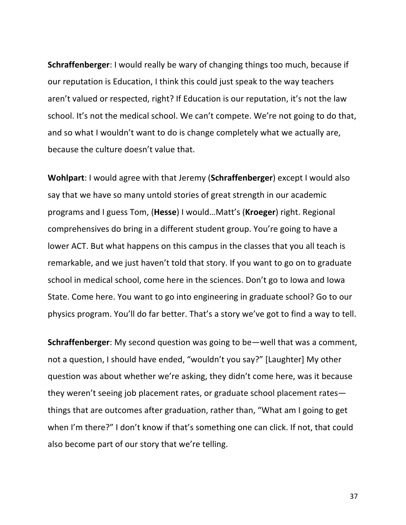**Schraffenberger**: I would really be wary of changing things too much, because if our reputation is Education, I think this could just speak to the way teachers aren't valued or respected, right? If Education is our reputation, it's not the law school. It's not the medical school. We can't compete. We're not going to do that, and so what I wouldn't want to do is change completely what we actually are, because the culture doesn't value that.

**Wohlpart:** I would agree with that Jeremy (Schraffenberger) except I would also say that we have so many untold stories of great strength in our academic programs and I guess Tom, (**Hesse**) I would…Matt's (**Kroeger**) right. Regional comprehensives do bring in a different student group. You're going to have a lower ACT. But what happens on this campus in the classes that you all teach is remarkable, and we just haven't told that story. If you want to go on to graduate school in medical school, come here in the sciences. Don't go to lowa and lowa State. Come here. You want to go into engineering in graduate school? Go to our physics program. You'll do far better. That's a story we've got to find a way to tell.

**Schraffenberger**: My second question was going to be—well that was a comment, not a question, I should have ended, "wouldn't you say?" [Laughter] My other question was about whether we're asking, they didn't come here, was it because they weren't seeing job placement rates, or graduate school placement rates things that are outcomes after graduation, rather than, "What am I going to get when I'm there?" I don't know if that's something one can click. If not, that could also become part of our story that we're telling.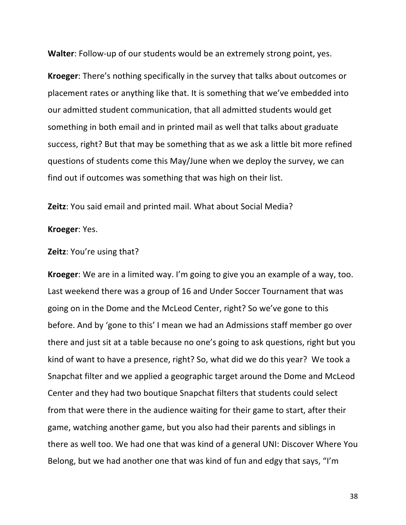**Walter:** Follow-up of our students would be an extremely strong point, yes.

**Kroeger:** There's nothing specifically in the survey that talks about outcomes or placement rates or anything like that. It is something that we've embedded into our admitted student communication, that all admitted students would get something in both email and in printed mail as well that talks about graduate success, right? But that may be something that as we ask a little bit more refined questions of students come this May/June when we deploy the survey, we can find out if outcomes was something that was high on their list.

**Zeitz**: You said email and printed mail. What about Social Media?

#### **Kroeger**: Yes.

#### **Zeitz:** You're using that?

**Kroeger**: We are in a limited way. I'm going to give you an example of a way, too. Last weekend there was a group of 16 and Under Soccer Tournament that was going on in the Dome and the McLeod Center, right? So we've gone to this before. And by 'gone to this' I mean we had an Admissions staff member go over there and just sit at a table because no one's going to ask questions, right but you kind of want to have a presence, right? So, what did we do this year? We took a Snapchat filter and we applied a geographic target around the Dome and McLeod Center and they had two boutique Snapchat filters that students could select from that were there in the audience waiting for their game to start, after their game, watching another game, but you also had their parents and siblings in there as well too. We had one that was kind of a general UNI: Discover Where You Belong, but we had another one that was kind of fun and edgy that says, "I'm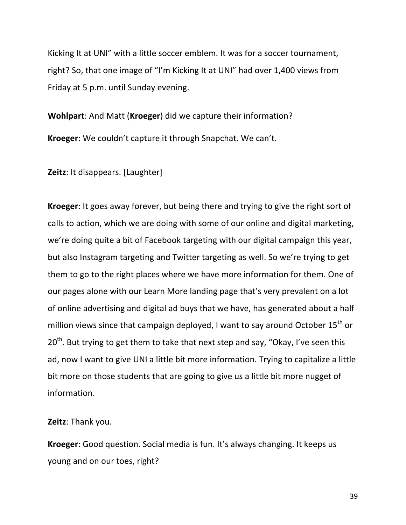Kicking It at UNI" with a little soccer emblem. It was for a soccer tournament, right? So, that one image of "I'm Kicking It at UNI" had over 1,400 views from Friday at 5 p.m. until Sunday evening.

**Wohlpart:** And Matt (**Kroeger**) did we capture their information? **Kroeger:** We couldn't capture it through Snapchat. We can't.

**Zeitz**: It disappears. [Laughter]

**Kroeger:** It goes away forever, but being there and trying to give the right sort of calls to action, which we are doing with some of our online and digital marketing, we're doing quite a bit of Facebook targeting with our digital campaign this year, but also Instagram targeting and Twitter targeting as well. So we're trying to get them to go to the right places where we have more information for them. One of our pages alone with our Learn More landing page that's very prevalent on a lot of online advertising and digital ad buys that we have, has generated about a half million views since that campaign deployed, I want to say around October 15<sup>th</sup> or  $20<sup>th</sup>$ . But trying to get them to take that next step and say, "Okay, I've seen this ad, now I want to give UNI a little bit more information. Trying to capitalize a little bit more on those students that are going to give us a little bit more nugget of information.

**Zeitz**: Thank you.

**Kroeger**: Good question. Social media is fun. It's always changing. It keeps us young and on our toes, right?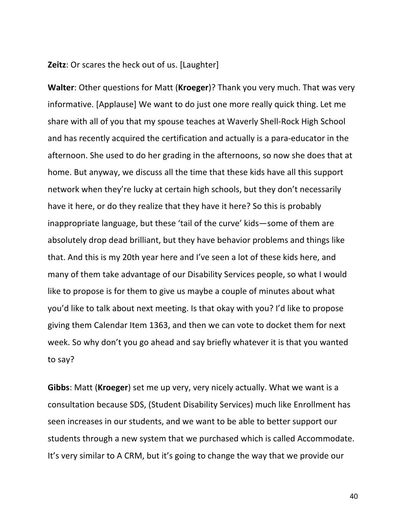#### **Zeitz**: Or scares the heck out of us. [Laughter]

**Walter:** Other questions for Matt (**Kroeger**)? Thank you very much. That was very informative. [Applause] We want to do just one more really quick thing. Let me share with all of you that my spouse teaches at Waverly Shell-Rock High School and has recently acquired the certification and actually is a para-educator in the afternoon. She used to do her grading in the afternoons, so now she does that at home. But anyway, we discuss all the time that these kids have all this support network when they're lucky at certain high schools, but they don't necessarily have it here, or do they realize that they have it here? So this is probably inappropriate language, but these 'tail of the curve' kids—some of them are absolutely drop dead brilliant, but they have behavior problems and things like that. And this is my 20th year here and I've seen a lot of these kids here, and many of them take advantage of our Disability Services people, so what I would like to propose is for them to give us maybe a couple of minutes about what you'd like to talk about next meeting. Is that okay with you? I'd like to propose giving them Calendar Item 1363, and then we can vote to docket them for next week. So why don't you go ahead and say briefly whatever it is that you wanted to say?

**Gibbs**: Matt (**Kroeger**) set me up very, very nicely actually. What we want is a consultation because SDS, (Student Disability Services) much like Enrollment has seen increases in our students, and we want to be able to better support our students through a new system that we purchased which is called Accommodate. It's very similar to A CRM, but it's going to change the way that we provide our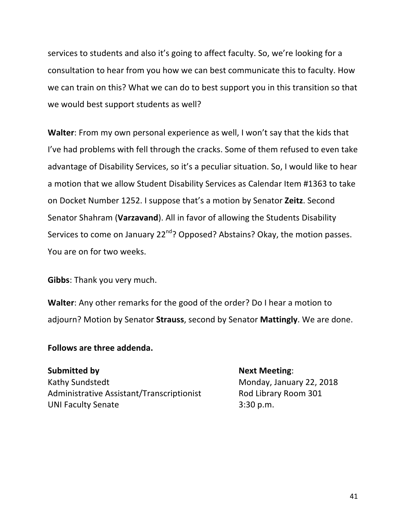services to students and also it's going to affect faculty. So, we're looking for a consultation to hear from you how we can best communicate this to faculty. How we can train on this? What we can do to best support you in this transition so that we would best support students as well?

**Walter**: From my own personal experience as well, I won't say that the kids that I've had problems with fell through the cracks. Some of them refused to even take advantage of Disability Services, so it's a peculiar situation. So, I would like to hear a motion that we allow Student Disability Services as Calendar Item #1363 to take on Docket Number 1252. I suppose that's a motion by Senator **Zeitz**. Second Senator Shahram (Varzavand). All in favor of allowing the Students Disability Services to come on January  $22^{nd}$ ? Opposed? Abstains? Okay, the motion passes. You are on for two weeks.

**Gibbs:** Thank you very much.

**Walter:** Any other remarks for the good of the order? Do I hear a motion to adjourn? Motion by Senator **Strauss**, second by Senator **Mattingly**. We are done.

#### **Follows are three addenda.**

**Submitted by**  Next Meeting: Kathy Sundstedt Monday, January 22, 2018 Administrative Assistant/Transcriptionist Rod Library Room 301 UNI Faculty Senate 3:30 p.m.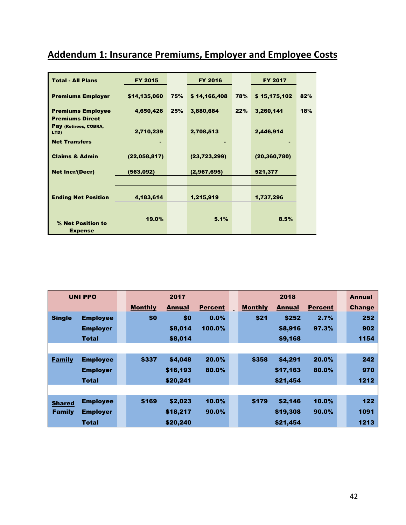# **Addendum 1: Insurance Premiums, Employer and Employee Costs**

| <b>Total - All Plans</b>                           | <b>FY 2015</b> |     | <b>FY 2016</b> |     | <b>FY 2017</b> |     |
|----------------------------------------------------|----------------|-----|----------------|-----|----------------|-----|
| <b>Premiums Employer</b>                           | \$14,135,060   | 75% | \$14,166,408   | 78% | \$15,175,102   | 82% |
| <b>Premiums Employee</b><br><b>Premiums Direct</b> | 4,650,426      | 25% | 3,880,684      | 22% | 3,260,141      | 18% |
| Pay (Retirees, COBRA,<br>LTD)                      | 2,710,239      |     | 2,708,513      |     | 2,446,914      |     |
| <b>Net Transfers</b>                               |                |     |                |     |                |     |
| <b>Claims &amp; Admin</b>                          | (22,058,817)   |     | (23, 723, 299) |     | (20, 360, 780) |     |
| <b>Net Incr/(Decr)</b>                             | (563,092)      |     | (2,967,695)    |     | 521,377        |     |
|                                                    |                |     |                |     |                |     |
| <b>Ending Net Position</b>                         | 4,183,614      |     | 1,215,919      |     | 1,737,296      |     |
|                                                    |                |     |                |     |                |     |
| % Net Position to<br><b>Expense</b>                | 19.0%          |     | 5.1%           |     | 8.5%           |     |

|               | <b>UNI PPO</b><br>2017 |  | 2018           |               |                | <b>Annual</b> |                |               |                |               |
|---------------|------------------------|--|----------------|---------------|----------------|---------------|----------------|---------------|----------------|---------------|
|               |                        |  | <b>Monthly</b> | <b>Annual</b> | <b>Percent</b> |               | <b>Monthly</b> | <b>Annual</b> | <b>Percent</b> | <b>Change</b> |
| <b>Single</b> | <b>Employee</b>        |  | \$0            | \$0           | 0.0%           |               | \$21           | \$252         | 2.7%           | 252           |
|               | <b>Employer</b>        |  |                | \$8,014       | 100.0%         |               |                | \$8,916       | 97.3%          | 902           |
|               | <b>Total</b>           |  |                | \$8,014       |                |               |                | \$9,168       |                | 1154          |
|               |                        |  |                |               |                |               |                |               |                |               |
| <b>Family</b> | <b>Employee</b>        |  | \$337          | \$4,048       | 20.0%          |               | \$358          | \$4,291       | 20.0%          | 242           |
|               | <b>Employer</b>        |  |                | \$16,193      | 80.0%          |               |                | \$17,163      | 80.0%          | 970           |
|               | <b>Total</b>           |  |                | \$20,241      |                |               |                | \$21,454      |                | 1212          |
|               |                        |  |                |               |                |               |                |               |                |               |
| <b>Shared</b> | <b>Employee</b>        |  | \$169          | \$2,023       | 10.0%          |               | \$179          | \$2,146       | 10.0%          | $122$         |
| <b>Family</b> | <b>Employer</b>        |  |                | \$18,217      | $90.0\%$       |               |                | \$19,308      | $90.0\%$       | 1091          |
|               | <b>Total</b>           |  |                | \$20,240      |                |               |                | \$21.454      |                | 1213          |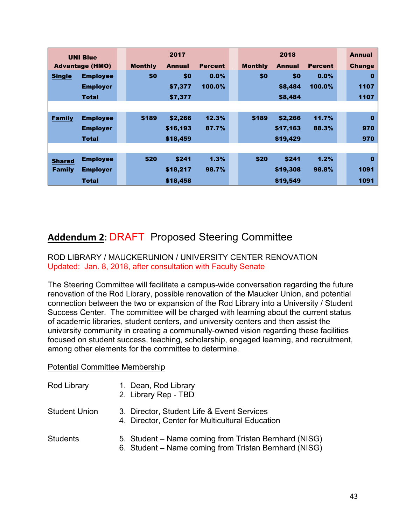|               | <b>UNI Blue</b>        |  |                | 2017          |                |  |                | 2018          |                | <b>Annual</b> |
|---------------|------------------------|--|----------------|---------------|----------------|--|----------------|---------------|----------------|---------------|
|               | <b>Advantage (HMO)</b> |  | <b>Monthly</b> | <b>Annual</b> | <b>Percent</b> |  | <b>Monthly</b> | <b>Annual</b> | <b>Percent</b> | <b>Change</b> |
| <b>Single</b> | <b>Employee</b>        |  | \$0            | \$0           | 0.0%           |  | \$0            | \$0           | $0.0\%$        | $\bf{0}$      |
|               | <b>Employer</b>        |  |                | \$7,377       | 100.0%         |  |                | \$8,484       | 100.0%         | 1107          |
|               | <b>Total</b>           |  |                | \$7,377       |                |  |                | \$8,484       |                | 1107          |
|               |                        |  |                |               |                |  |                |               |                |               |
| <b>Family</b> | <b>Employee</b>        |  | \$189          | \$2,266       | 12.3%          |  | \$189          | \$2,266       | 11.7%          | $\bf{0}$      |
|               | <b>Employer</b>        |  |                | \$16,193      | 87.7%          |  |                | \$17,163      | 88.3%          | 970           |
|               | <b>Total</b>           |  |                | \$18,459      |                |  |                | \$19,429      |                | 970           |
|               |                        |  |                |               |                |  |                |               |                |               |
| <b>Shared</b> | <b>Employee</b>        |  | \$20           | \$241         | 1.3%           |  | \$20           | \$241         | 1.2%           | $\bf{0}$      |
| <b>Family</b> | <b>Employer</b>        |  |                | \$18,217      | 98.7%          |  |                | \$19,308      | 98.8%          | 1091          |
|               | <b>Total</b>           |  |                | \$18,458      |                |  |                | \$19,549      |                | 1091          |

## **Addendum 2**: DRAFT Proposed Steering Committee

#### ROD LIBRARY / MAUCKERUNION / UNIVERSITY CENTER RENOVATION Updated: Jan. 8, 2018, after consultation with Faculty Senate

The Steering Committee will facilitate a campus-wide conversation regarding the future renovation of the Rod Library, possible renovation of the Maucker Union, and potential connection between the two or expansion of the Rod Library into a University / Student Success Center. The committee will be charged with learning about the current status of academic libraries, student centers, and university centers and then assist the university community in creating a communally-owned vision regarding these facilities focused on student success, teaching, scholarship, engaged learning, and recruitment, among other elements for the committee to determine.

#### Potential Committee Membership

| Rod Library | 1. Dean, Rod Library |
|-------------|----------------------|
|-------------|----------------------|

- 2. Library Rep TBD
- Student Union 3. Director, Student Life & Event Services
	- 4. Director, Center for Multicultural Education

# Students 5. Student – Name coming from Tristan Bernhard (NISG)

6. Student – Name coming from Tristan Bernhard (NISG)